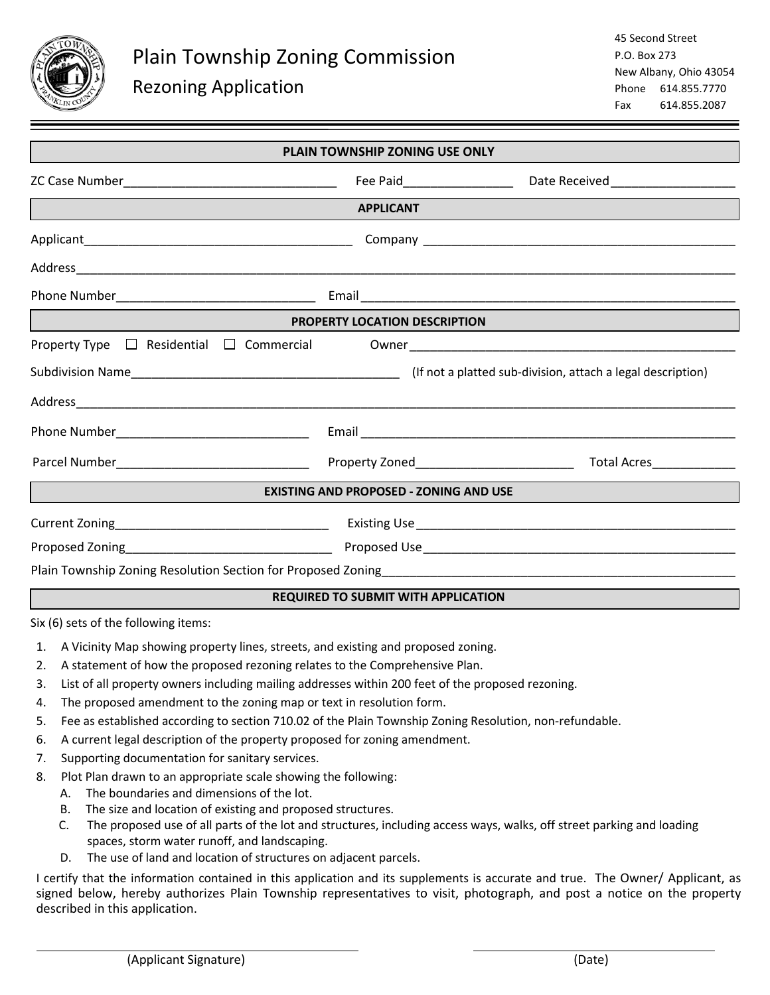

| <b>PLAIN TOWNSHIP ZONING USE ONLY</b>                           |  |  |
|-----------------------------------------------------------------|--|--|
|                                                                 |  |  |
| <b>APPLICANT</b>                                                |  |  |
|                                                                 |  |  |
|                                                                 |  |  |
|                                                                 |  |  |
| PROPERTY LOCATION DESCRIPTION<br><u> André de la componenta</u> |  |  |
|                                                                 |  |  |
|                                                                 |  |  |
|                                                                 |  |  |
|                                                                 |  |  |
|                                                                 |  |  |
| <b>EXISTING AND PROPOSED - ZONING AND USE</b>                   |  |  |
|                                                                 |  |  |
|                                                                 |  |  |
|                                                                 |  |  |
| <b>REQUIRED TO SUBMIT WITH APPLICATION</b>                      |  |  |

Six (6) sets of the following items:

 $\overline{a}$ 

- 1. A Vicinity Map showing property lines, streets, and existing and proposed zoning.
- 2. A statement of how the proposed rezoning relates to the Comprehensive Plan.
- 3. List of all property owners including mailing addresses within 200 feet of the proposed rezoning.
- 4. The proposed amendment to the zoning map or text in resolution form.
- 5. Fee as established according to section 710.02 of the Plain Township Zoning Resolution, non-refundable.
- 6. A current legal description of the property proposed for zoning amendment.
- 7. Supporting documentation for sanitary services.
- 8. Plot Plan drawn to an appropriate scale showing the following:
	- A. The boundaries and dimensions of the lot.
	- B. The size and location of existing and proposed structures.
	- C. The proposed use of all parts of the lot and structures, including access ways, walks, off street parking and loading spaces, storm water runoff, and landscaping.
	- D. The use of land and location of structures on adjacent parcels.

I certify that the information contained in this application and its supplements is accurate and true. The Owner/ Applicant, as signed below, hereby authorizes Plain Township representatives to visit, photograph, and post a notice on the property described in this application.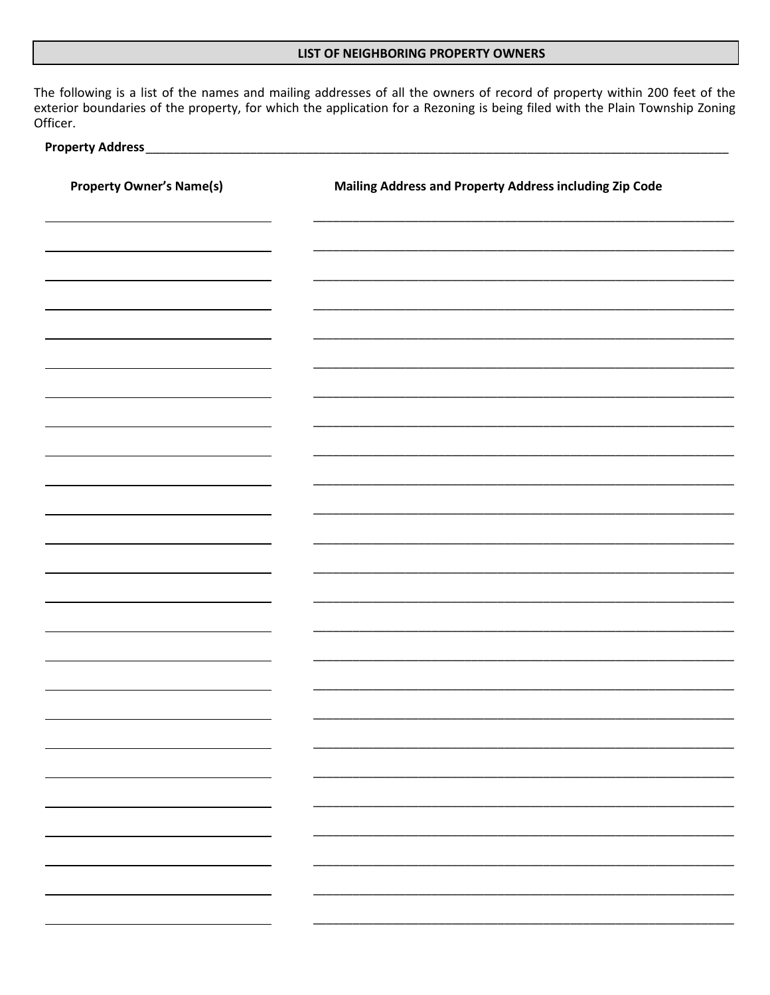#### LIST OF NEIGHBORING PROPERTY OWNERS

The following is a list of the names and mailing addresses of all the owners of record of property within 200 feet of the exterior boundaries of the property, for which the application for a Rezoning is being filed with the Plain Township Zoning Officer.

### **Property Address\_**

| <b>Property Owner's Name(s)</b> | Mailing Address and Property Address including Zip Code |  |
|---------------------------------|---------------------------------------------------------|--|
|                                 |                                                         |  |
|                                 |                                                         |  |
|                                 |                                                         |  |
|                                 |                                                         |  |
|                                 |                                                         |  |
|                                 |                                                         |  |
|                                 |                                                         |  |
|                                 |                                                         |  |
|                                 |                                                         |  |
|                                 |                                                         |  |
|                                 |                                                         |  |
|                                 |                                                         |  |
|                                 |                                                         |  |
|                                 |                                                         |  |
| Ξ.                              | <b>Property</b>                                         |  |
| ÷.                              |                                                         |  |
|                                 |                                                         |  |
|                                 |                                                         |  |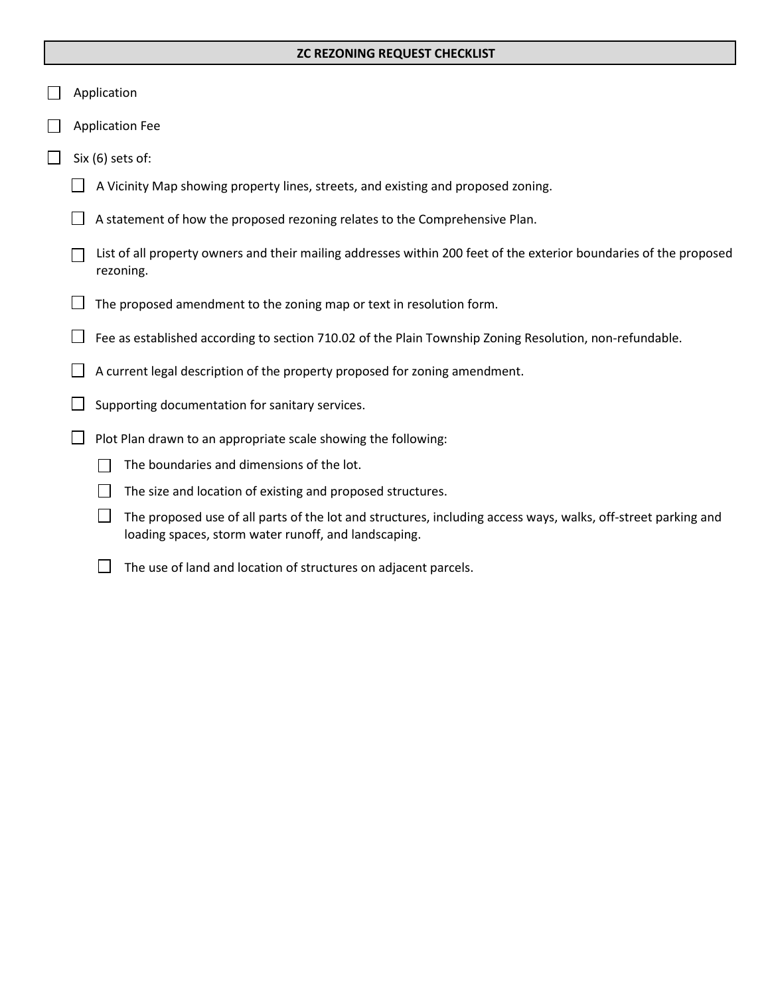### **ZC REZONING REQUEST CHECKLIST**

- Application
- Application Fee
- $\Box$  Six (6) sets of:
	- $\Box$  A Vicinity Map showing property lines, streets, and existing and proposed zoning.
	- $\Box$  A statement of how the proposed rezoning relates to the Comprehensive Plan.
	- $\Box$  List of all property owners and their mailing addresses within 200 feet of the exterior boundaries of the proposed rezoning.
	- $\Box$  The proposed amendment to the zoning map or text in resolution form.
	- Fee as established according to section 710.02 of the Plain Township Zoning Resolution, non-refundable.
	- $\Box$  A current legal description of the property proposed for zoning amendment.
	- $\Box$  Supporting documentation for sanitary services.
	- $\Box$  Plot Plan drawn to an appropriate scale showing the following:
		- $\Box$  The boundaries and dimensions of the lot.
		- $\Box$  The size and location of existing and proposed structures.
		- $\Box$  The proposed use of all parts of the lot and structures, including access ways, walks, off-street parking and loading spaces, storm water runoff, and landscaping.
		- $\Box$  The use of land and location of structures on adjacent parcels.